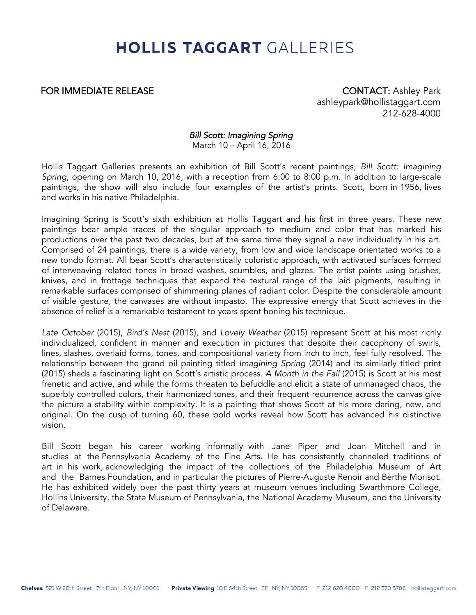## **HOLLIS TAGGART GALLERIES**

FOR IMMEDIATE RELEASE **CONTACT:** Ashley Park ashleypark@hollistaggart.com 212-628-4000

### Bill Scott: Imagining Spring

March 10 – April 16, 2016

Hollis Taggart Galleries presents an exhibition of Bill Scott's recent paintings, Bill Scott: Imagining Spring, opening on March 10, 2016, with a reception from 6:00 to 8:00 p.m. In addition to large-scale paintings, the show will also include four examples of the artist's prints. Scott, born in 1956, lives and works in his native Philadelphia.

Imagining Spring is Scott's sixth exhibition at Hollis Taggart and his first in three years. These new paintings bear ample traces of the singular approach to medium and color that has marked his productions over the past two decades, but at the same time they signal a new individuality in his art. Comprised of 24 paintings, there is a wide variety, from low and wide landscape orientated works to a new tondo format. All bear Scott's characteristically coloristic approach, with activated surfaces formed of interweaving related tones in broad washes, scumbles, and glazes. The artist paints using brushes, knives, and in frottage techniques that expand the textural range of the laid pigments, resulting in remarkable surfaces comprised of shimmering planes of radiant color. Despite the considerable amount of visible gesture, the canvases are without impasto. The expressive energy that Scott achieves in the absence of relief is a remarkable testament to years spent honing his technique.

Late October (2015), Bird's Nest (2015), and Lovely Weather (2015) represent Scott at his most richly individualized, confident in manner and execution in pictures that despite their cacophony of swirls, lines, slashes, overlaid forms, tones, and compositional variety from inch to inch, feel fully resolved. The relationship between the grand oil painting titled Imagining Spring (2014) and its similarly titled print (2015) sheds a fascinating light on Scott's artistic process. A Month in the Fall (2015) is Scott at his most frenetic and active, and while the forms threaten to befuddle and elicit a state of unmanaged chaos, the superbly controlled colors, their harmonized tones, and their frequent recurrence across the canvas give the picture a stability within complexity. It is a painting that shows Scott at his more daring, new, and original. On the cusp of turning 60, these bold works reveal how Scott has advanced his distinctive vision.

Bill Scott began his career working informally with Jane Piper and Joan Mitchell and in studies at the Pennsylvania Academy of the Fine Arts. He has consistently channeled traditions of art in his work, acknowledging the impact of the collections of the Philadelphia Museum of Art and the Barnes Foundation, and in particular the pictures of Pierre-Auguste Renoir and Berthe Morisot. He has exhibited widely over the past thirty years at museum venues including Swarthmore College, Hollins University, the State Museum of Pennsylvania, the National Academy Museum, and the University of Delaware.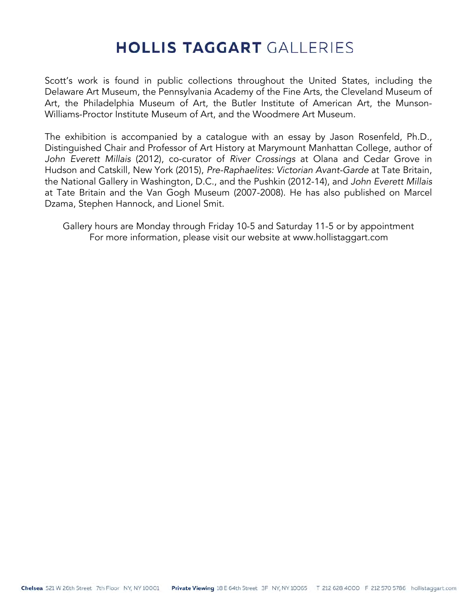# **HOLLIS TAGGART GALLERIES**

Scott's work is found in public collections throughout the United States, including the Delaware Art Museum, the Pennsylvania Academy of the Fine Arts, the Cleveland Museum of Art, the Philadelphia Museum of Art, the Butler Institute of American Art, the Munson-Williams-Proctor Institute Museum of Art, and the Woodmere Art Museum.

The exhibition is accompanied by a catalogue with an essay by Jason Rosenfeld, Ph.D., Distinguished Chair and Professor of Art History at Marymount Manhattan College, author of John Everett Millais (2012), co-curator of River Crossings at Olana and Cedar Grove in Hudson and Catskill, New York (2015), Pre-Raphaelites: Victorian Avant-Garde at Tate Britain, the National Gallery in Washington, D.C., and the Pushkin (2012-14), and John Everett Millais at Tate Britain and the Van Gogh Museum (2007-2008). He has also published on Marcel Dzama, Stephen Hannock, and Lionel Smit.

Gallery hours are Monday through Friday 10-5 and Saturday 11-5 or by appointment For more information, please visit our website at www.hollistaggart.com